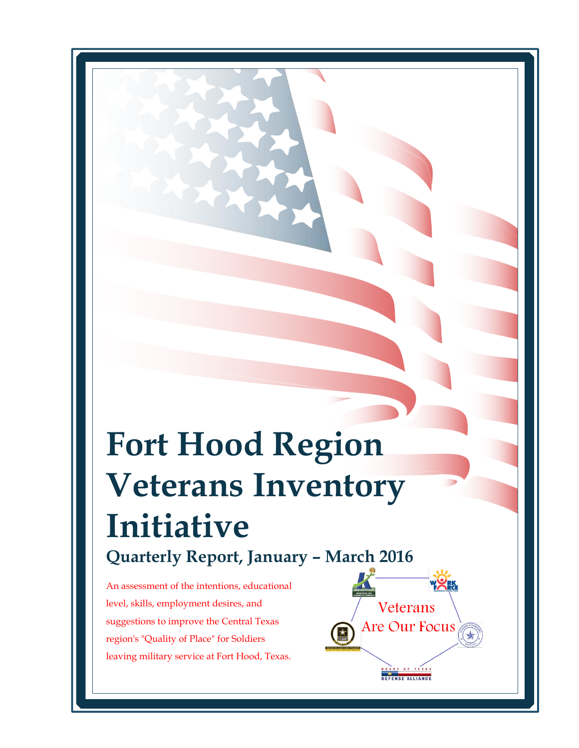# **Fort Hood Region Veterans Inventory Initiative Quarterly Report, January – March 2016**

An assessment of the intentions, educational level, skills, employment desires, and suggestions to improve the Central Texas region's "Quality of Place" for Soldiers leaving military service at Fort Hood, Texas. 

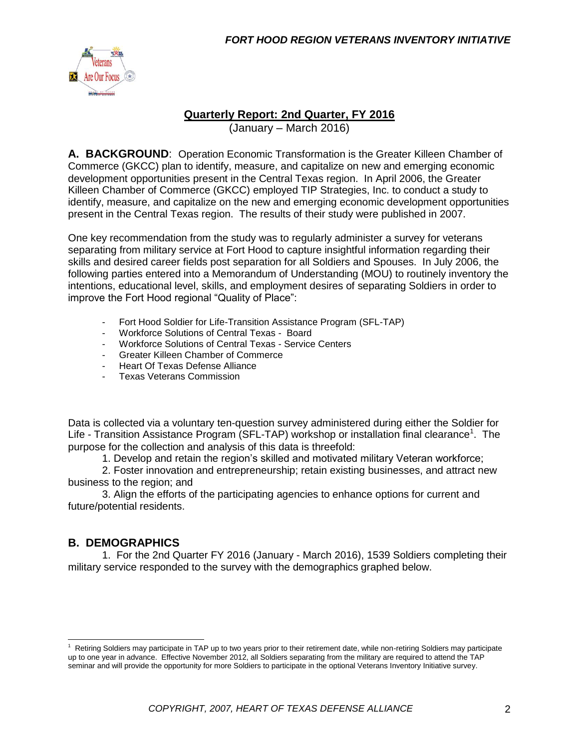

#### **Quarterly Report: 2nd Quarter, FY 2016**

(January – March 2016)

**A. BACKGROUND**: Operation Economic Transformation is the Greater Killeen Chamber of Commerce (GKCC) plan to identify, measure, and capitalize on new and emerging economic development opportunities present in the Central Texas region. In April 2006, the Greater Killeen Chamber of Commerce (GKCC) employed TIP Strategies, Inc. to conduct a study to identify, measure, and capitalize on the new and emerging economic development opportunities present in the Central Texas region. The results of their study were published in 2007.

One key recommendation from the study was to regularly administer a survey for veterans separating from military service at Fort Hood to capture insightful information regarding their skills and desired career fields post separation for all Soldiers and Spouses. In July 2006, the following parties entered into a Memorandum of Understanding (MOU) to routinely inventory the intentions, educational level, skills, and employment desires of separating Soldiers in order to improve the Fort Hood regional "Quality of Place":

- Fort Hood Soldier for Life-Transition Assistance Program (SFL-TAP)
- Workforce Solutions of Central Texas Board
- Workforce Solutions of Central Texas Service Centers
- Greater Killeen Chamber of Commerce
- Heart Of Texas Defense Alliance
- Texas Veterans Commission

Data is collected via a voluntary ten-question survey administered during either the Soldier for Life - Transition Assistance Program (SFL-TAP) workshop or installation final clearance<sup>1</sup>. The purpose for the collection and analysis of this data is threefold:

1. Develop and retain the region's skilled and motivated military Veteran workforce;

2. Foster innovation and entrepreneurship; retain existing businesses, and attract new business to the region; and

3. Align the efforts of the participating agencies to enhance options for current and future/potential residents.

#### **B. DEMOGRAPHICS**

1. For the 2nd Quarter FY 2016 (January - March 2016), 1539 Soldiers completing their military service responded to the survey with the demographics graphed below.

 $1$  Retiring Soldiers may participate in TAP up to two years prior to their retirement date, while non-retiring Soldiers may participate up to one year in advance. Effective November 2012, all Soldiers separating from the military are required to attend the TAP seminar and will provide the opportunity for more Soldiers to participate in the optional Veterans Inventory Initiative survey.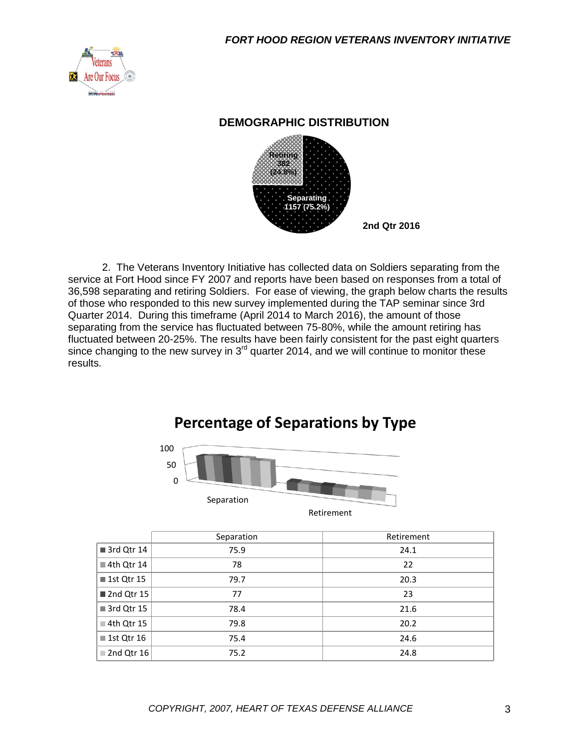

#### **DEMOGRAPHIC DISTRIBUTION**



2. The Veterans Inventory Initiative has collected data on Soldiers separating from the service at Fort Hood since FY 2007 and reports have been based on responses from a total of 36,598 separating and retiring Soldiers. For ease of viewing, the graph below charts the results of those who responded to this new survey implemented during the TAP seminar since 3rd Quarter 2014. During this timeframe (April 2014 to March 2016), the amount of those separating from the service has fluctuated between 75-80%, while the amount retiring has fluctuated between 20-25%. The results have been fairly consistent for the past eight quarters since changing to the new survey in  $3<sup>rd</sup>$  quarter 2014, and we will continue to monitor these results.

# 100 **Percentage of Separations by Type**



|                           | Separation | Retirement |
|---------------------------|------------|------------|
| 3rd Qtr 14                | 75.9       | 24.1       |
| $\blacksquare$ 4th Qtr 14 | 78         | 22         |
| ■ 1st Qtr 15              | 79.7       | 20.3       |
| 2nd Qtr 15                | 77         | 23         |
| 3rd Qtr 15                | 78.4       | 21.6       |
| $\blacksquare$ 4th Qtr 15 | 79.8       | 20.2       |
| ■ 1st Qtr 16              | 75.4       | 24.6       |
| 2nd Qtr 16                | 75.2       | 24.8       |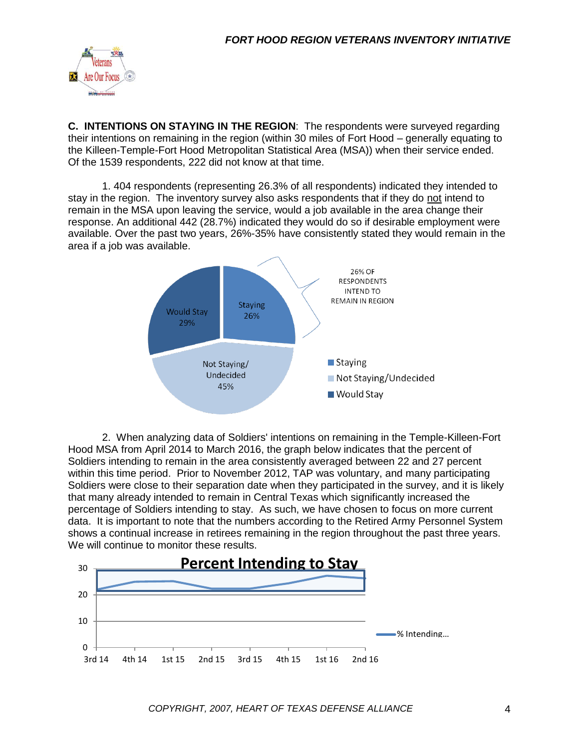

**C. INTENTIONS ON STAYING IN THE REGION**: The respondents were surveyed regarding their intentions on remaining in the region (within 30 miles of Fort Hood – generally equating to the Killeen-Temple-Fort Hood Metropolitan Statistical Area (MSA)) when their service ended. Of the 1539 respondents, 222 did not know at that time.

1. 404 respondents (representing 26.3% of all respondents) indicated they intended to stay in the region. The inventory survey also asks respondents that if they do not intend to remain in the MSA upon leaving the service, would a job available in the area change their response. An additional 442 (28.7%) indicated they would do so if desirable employment were available. Over the past two years, 26%-35% have consistently stated they would remain in the area if a job was available.



2. When analyzing data of Soldiers' intentions on remaining in the Temple-Killeen-Fort Hood MSA from April 2014 to March 2016, the graph below indicates that the percent of Soldiers intending to remain in the area consistently averaged between 22 and 27 percent within this time period. Prior to November 2012, TAP was voluntary, and many participating Soldiers were close to their separation date when they participated in the survey, and it is likely that many already intended to remain in Central Texas which significantly increased the percentage of Soldiers intending to stay. As such, we have chosen to focus on more current data. It is important to note that the numbers according to the Retired Army Personnel System shows a continual increase in retirees remaining in the region throughout the past three years. We will continue to monitor these results.

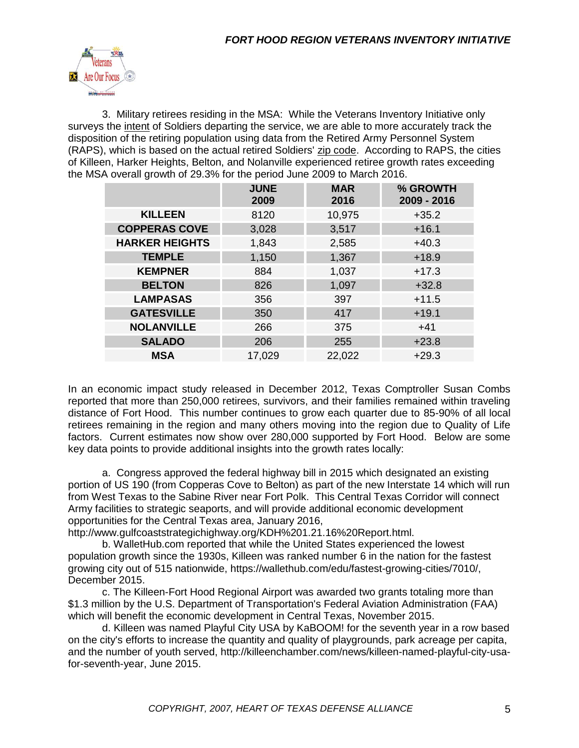

3. Military retirees residing in the MSA: While the Veterans Inventory Initiative only surveys the intent of Soldiers departing the service, we are able to more accurately track the disposition of the retiring population using data from the Retired Army Personnel System (RAPS), which is based on the actual retired Soldiers' zip code. According to RAPS, the cities of Killeen, Harker Heights, Belton, and Nolanville experienced retiree growth rates exceeding the MSA overall growth of 29.3% for the period June 2009 to March 2016.

|                       | <b>JUNE</b><br>2009 | <b>MAR</b><br>2016 | % GROWTH<br>2009 - 2016 |
|-----------------------|---------------------|--------------------|-------------------------|
| <b>KILLEEN</b>        | 8120                | 10,975             | $+35.2$                 |
| <b>COPPERAS COVE</b>  | 3,028               | 3,517              | $+16.1$                 |
| <b>HARKER HEIGHTS</b> | 1,843               | 2,585              | $+40.3$                 |
| <b>TEMPLE</b>         | 1,150               | 1,367              | $+18.9$                 |
| <b>KEMPNER</b>        | 884                 | 1,037              | $+17.3$                 |
| <b>BELTON</b>         | 826                 | 1,097              | $+32.8$                 |
| <b>LAMPASAS</b>       | 356                 | 397                | $+11.5$                 |
| <b>GATESVILLE</b>     | 350                 | 417                | $+19.1$                 |
| <b>NOLANVILLE</b>     | 266                 | 375                | $+41$                   |
| <b>SALADO</b>         | 206                 | 255                | $+23.8$                 |
| <b>MSA</b>            | 17,029              | 22,022             | $+29.3$                 |

In an economic impact study released in December 2012, Texas Comptroller Susan Combs reported that more than 250,000 retirees, survivors, and their families remained within traveling distance of Fort Hood. This number continues to grow each quarter due to 85-90% of all local retirees remaining in the region and many others moving into the region due to Quality of Life factors. Current estimates now show over 280,000 supported by Fort Hood. Below are some key data points to provide additional insights into the growth rates locally:

a. Congress approved the federal highway bill in 2015 which designated an existing portion of US 190 (from Copperas Cove to Belton) as part of the new Interstate 14 which will run from West Texas to the Sabine River near Fort Polk. This Central Texas Corridor will connect Army facilities to strategic seaports, and will provide additional economic development opportunities for the Central Texas area, January 2016,

http://www.gulfcoaststrategichighway.org/KDH%201.21.16%20Report.html.

b. WalletHub.com reported that while the United States experienced the lowest population growth since the 1930s, Killeen was ranked number 6 in the nation for the fastest growing city out of 515 nationwide, https://wallethub.com/edu/fastest-growing-cities/7010/, December 2015.

c. The Killeen-Fort Hood Regional Airport was awarded two grants totaling more than \$1.3 million by the U.S. Department of Transportation's Federal Aviation Administration (FAA) which will benefit the economic development in Central Texas, November 2015.

d. Killeen was named Playful City USA by KaBOOM! for the seventh year in a row based on the city's efforts to increase the quantity and quality of playgrounds, park acreage per capita, and the number of youth served, http://killeenchamber.com/news/killeen-named-playful-city-usafor-seventh-year, June 2015.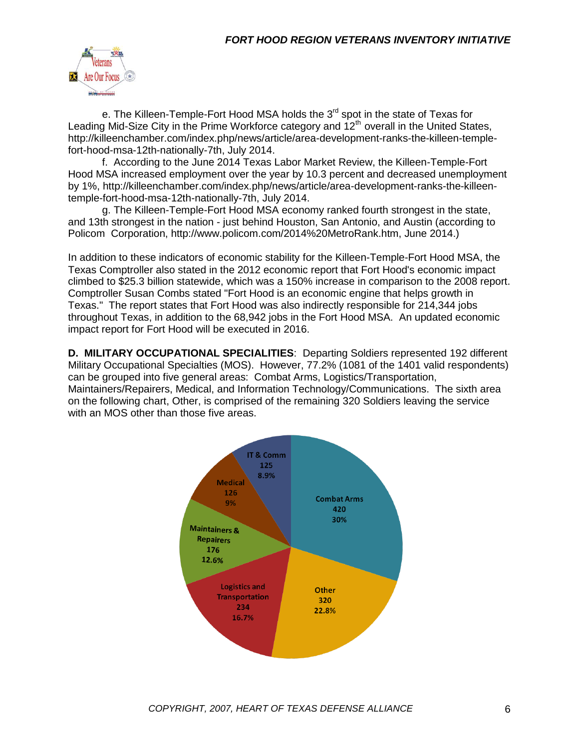

e. The Killeen-Temple-Fort Hood MSA holds the  $3<sup>rd</sup>$  spot in the state of Texas for Leading Mid-Size City in the Prime Workforce category and  $12<sup>th</sup>$  overall in the United States, http://killeenchamber.com/index.php/news/article/area-development-ranks-the-killeen-templefort-hood-msa-12th-nationally-7th, July 2014.

f. According to the June 2014 Texas Labor Market Review, the Killeen-Temple-Fort Hood MSA increased employment over the year by 10.3 percent and decreased unemployment by 1%, http://killeenchamber.com/index.php/news/article/area-development-ranks-the-killeentemple-fort-hood-msa-12th-nationally-7th, July 2014.

g. The Killeen-Temple-Fort Hood MSA economy ranked fourth strongest in the state, and 13th strongest in the nation - just behind Houston, San Antonio, and Austin (according to Policom Corporation, http://www.policom.com/2014%20MetroRank.htm, June 2014.)

In addition to these indicators of economic stability for the Killeen-Temple-Fort Hood MSA, the Texas Comptroller also stated in the 2012 economic report that Fort Hood's economic impact climbed to \$25.3 billion statewide, which was a 150% increase in comparison to the 2008 report. Comptroller Susan Combs stated "Fort Hood is an economic engine that helps growth in Texas." The report states that Fort Hood was also indirectly responsible for 214,344 jobs throughout Texas, in addition to the 68,942 jobs in the Fort Hood MSA. An updated economic impact report for Fort Hood will be executed in 2016.

**D. MILITARY OCCUPATIONAL SPECIALITIES**: Departing Soldiers represented 192 different Military Occupational Specialties (MOS). However, 77.2% (1081 of the 1401 valid respondents) can be grouped into five general areas: Combat Arms, Logistics/Transportation, Maintainers/Repairers, Medical, and Information Technology/Communications. The sixth area on the following chart, Other, is comprised of the remaining 320 Soldiers leaving the service with an MOS other than those five areas.

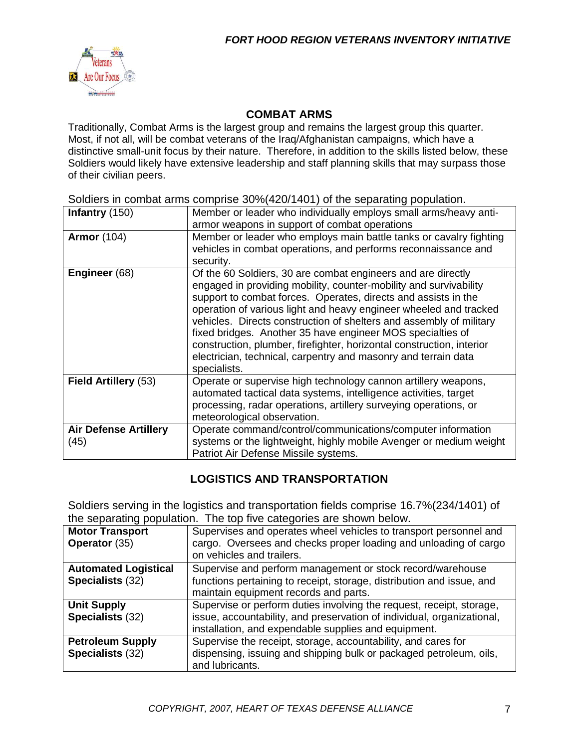

#### **COMBAT ARMS**

Traditionally, Combat Arms is the largest group and remains the largest group this quarter. Most, if not all, will be combat veterans of the Iraq/Afghanistan campaigns, which have a distinctive small-unit focus by their nature. Therefore, in addition to the skills listed below, these Soldiers would likely have extensive leadership and staff planning skills that may surpass those of their civilian peers.

Soldiers in combat arms comprise 30%(420/1401) of the separating population.

| Infantry (150)                       | Member or leader who individually employs small arms/heavy anti-<br>armor weapons in support of combat operations                                                                                                                                                                                                                                                                                                                                                                                                                                                        |
|--------------------------------------|--------------------------------------------------------------------------------------------------------------------------------------------------------------------------------------------------------------------------------------------------------------------------------------------------------------------------------------------------------------------------------------------------------------------------------------------------------------------------------------------------------------------------------------------------------------------------|
| <b>Armor</b> (104)                   | Member or leader who employs main battle tanks or cavalry fighting<br>vehicles in combat operations, and performs reconnaissance and<br>security.                                                                                                                                                                                                                                                                                                                                                                                                                        |
| Engineer (68)                        | Of the 60 Soldiers, 30 are combat engineers and are directly<br>engaged in providing mobility, counter-mobility and survivability<br>support to combat forces. Operates, directs and assists in the<br>operation of various light and heavy engineer wheeled and tracked<br>vehicles. Directs construction of shelters and assembly of military<br>fixed bridges. Another 35 have engineer MOS specialties of<br>construction, plumber, firefighter, horizontal construction, interior<br>electrician, technical, carpentry and masonry and terrain data<br>specialists. |
| Field Artillery (53)                 | Operate or supervise high technology cannon artillery weapons,<br>automated tactical data systems, intelligence activities, target<br>processing, radar operations, artillery surveying operations, or<br>meteorological observation.                                                                                                                                                                                                                                                                                                                                    |
| <b>Air Defense Artillery</b><br>(45) | Operate command/control/communications/computer information<br>systems or the lightweight, highly mobile Avenger or medium weight<br>Patriot Air Defense Missile systems.                                                                                                                                                                                                                                                                                                                                                                                                |

#### **LOGISTICS AND TRANSPORTATION**

Soldiers serving in the logistics and transportation fields comprise 16.7%(234/1401) of the separating population. The top five categories are shown below.

| <b>Motor Transport</b><br>Operator (35)         | Supervises and operates wheel vehicles to transport personnel and<br>cargo. Oversees and checks proper loading and unloading of cargo<br>on vehicles and trailers.                                     |
|-------------------------------------------------|--------------------------------------------------------------------------------------------------------------------------------------------------------------------------------------------------------|
| <b>Automated Logistical</b><br>Specialists (32) | Supervise and perform management or stock record/warehouse<br>functions pertaining to receipt, storage, distribution and issue, and<br>maintain equipment records and parts.                           |
| <b>Unit Supply</b><br>Specialists (32)          | Supervise or perform duties involving the request, receipt, storage,<br>issue, accountability, and preservation of individual, organizational,<br>installation, and expendable supplies and equipment. |
| <b>Petroleum Supply</b><br>Specialists (32)     | Supervise the receipt, storage, accountability, and cares for<br>dispensing, issuing and shipping bulk or packaged petroleum, oils,<br>and lubricants.                                                 |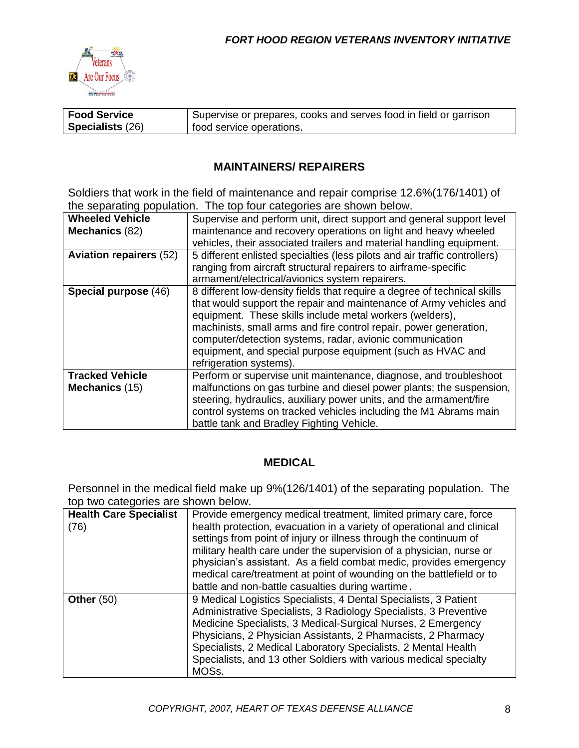

| <b>Food Service</b>     | Supervise or prepares, cooks and serves food in field or garrison |
|-------------------------|-------------------------------------------------------------------|
| <b>Specialists (26)</b> | food service operations.                                          |

#### **MAINTAINERS/ REPAIRERS**

Soldiers that work in the field of maintenance and repair comprise 12.6%(176/1401) of the separating population. The top four categories are shown below.

| <b>Wheeled Vehicle</b>         | Supervise and perform unit, direct support and general support level       |
|--------------------------------|----------------------------------------------------------------------------|
| Mechanics (82)                 | maintenance and recovery operations on light and heavy wheeled             |
|                                | vehicles, their associated trailers and material handling equipment.       |
| <b>Aviation repairers (52)</b> | 5 different enlisted specialties (less pilots and air traffic controllers) |
|                                | ranging from aircraft structural repairers to airframe-specific            |
|                                | armament/electrical/avionics system repairers.                             |
| Special purpose (46)           | 8 different low-density fields that require a degree of technical skills   |
|                                | that would support the repair and maintenance of Army vehicles and         |
|                                | equipment. These skills include metal workers (welders),                   |
|                                | machinists, small arms and fire control repair, power generation,          |
|                                | computer/detection systems, radar, avionic communication                   |
|                                | equipment, and special purpose equipment (such as HVAC and                 |
|                                | refrigeration systems).                                                    |
| <b>Tracked Vehicle</b>         | Perform or supervise unit maintenance, diagnose, and troubleshoot          |
| Mechanics (15)                 | malfunctions on gas turbine and diesel power plants; the suspension,       |
|                                | steering, hydraulics, auxiliary power units, and the armament/fire         |
|                                | control systems on tracked vehicles including the M1 Abrams main           |
|                                | battle tank and Bradley Fighting Vehicle.                                  |

#### **MEDICAL**

Personnel in the medical field make up 9%(126/1401) of the separating population. The top two categories are shown below.

| <b>Health Care Specialist</b> | Provide emergency medical treatment, limited primary care, force       |
|-------------------------------|------------------------------------------------------------------------|
| (76)                          | health protection, evacuation in a variety of operational and clinical |
|                               | settings from point of injury or illness through the continuum of      |
|                               | military health care under the supervision of a physician, nurse or    |
|                               | physician's assistant. As a field combat medic, provides emergency     |
|                               | medical care/treatment at point of wounding on the battlefield or to   |
|                               | battle and non-battle casualties during wartime.                       |
| Other $(50)$                  | 9 Medical Logistics Specialists, 4 Dental Specialists, 3 Patient       |
|                               | Administrative Specialists, 3 Radiology Specialists, 3 Preventive      |
|                               | Medicine Specialists, 3 Medical-Surgical Nurses, 2 Emergency           |
|                               | Physicians, 2 Physician Assistants, 2 Pharmacists, 2 Pharmacy          |
|                               | Specialists, 2 Medical Laboratory Specialists, 2 Mental Health         |
|                               | Specialists, and 13 other Soldiers with various medical specialty      |
|                               | MOSs.                                                                  |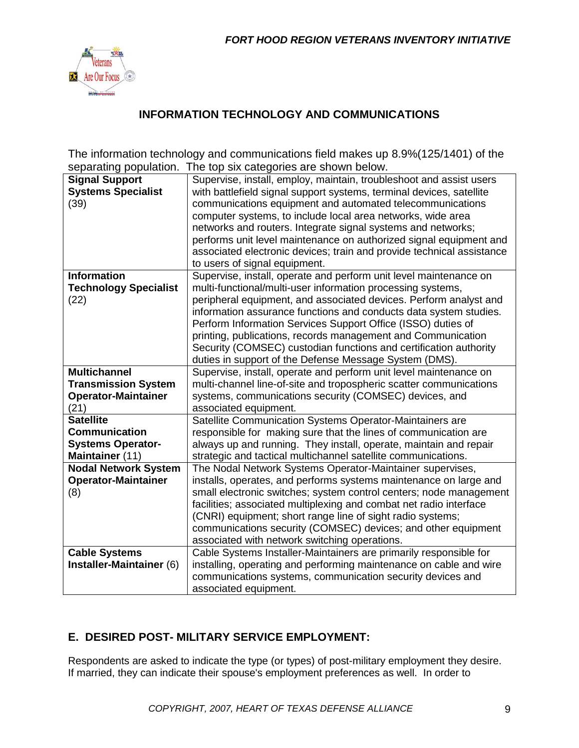

### **INFORMATION TECHNOLOGY AND COMMUNICATIONS**

The information technology and communications field makes up 8.9%(125/1401) of the separating population. The top six categories are shown below.

| <b>Signal Support</b>        | Supervise, install, employ, maintain, troubleshoot and assist users   |
|------------------------------|-----------------------------------------------------------------------|
| <b>Systems Specialist</b>    | with battlefield signal support systems, terminal devices, satellite  |
| (39)                         | communications equipment and automated telecommunications             |
|                              | computer systems, to include local area networks, wide area           |
|                              | networks and routers. Integrate signal systems and networks;          |
|                              | performs unit level maintenance on authorized signal equipment and    |
|                              | associated electronic devices; train and provide technical assistance |
|                              | to users of signal equipment.                                         |
| <b>Information</b>           | Supervise, install, operate and perform unit level maintenance on     |
| <b>Technology Specialist</b> | multi-functional/multi-user information processing systems,           |
| (22)                         | peripheral equipment, and associated devices. Perform analyst and     |
|                              | information assurance functions and conducts data system studies.     |
|                              | Perform Information Services Support Office (ISSO) duties of          |
|                              | printing, publications, records management and Communication          |
|                              | Security (COMSEC) custodian functions and certification authority     |
|                              | duties in support of the Defense Message System (DMS).                |
| <b>Multichannel</b>          | Supervise, install, operate and perform unit level maintenance on     |
| <b>Transmission System</b>   | multi-channel line-of-site and tropospheric scatter communications    |
| <b>Operator-Maintainer</b>   | systems, communications security (COMSEC) devices, and                |
| (21)                         | associated equipment.                                                 |
| <b>Satellite</b>             | Satellite Communication Systems Operator-Maintainers are              |
| <b>Communication</b>         | responsible for making sure that the lines of communication are       |
| <b>Systems Operator-</b>     | always up and running. They install, operate, maintain and repair     |
| Maintainer (11)              | strategic and tactical multichannel satellite communications.         |
| <b>Nodal Network System</b>  | The Nodal Network Systems Operator-Maintainer supervises,             |
| <b>Operator-Maintainer</b>   | installs, operates, and performs systems maintenance on large and     |
| (8)                          | small electronic switches; system control centers; node management    |
|                              | facilities; associated multiplexing and combat net radio interface    |
|                              | (CNRI) equipment; short range line of sight radio systems;            |
|                              | communications security (COMSEC) devices; and other equipment         |
|                              | associated with network switching operations.                         |
| <b>Cable Systems</b>         | Cable Systems Installer-Maintainers are primarily responsible for     |
| Installer-Maintainer (6)     | installing, operating and performing maintenance on cable and wire    |
|                              | communications systems, communication security devices and            |
|                              | associated equipment.                                                 |

### **E. DESIRED POST- MILITARY SERVICE EMPLOYMENT:**

Respondents are asked to indicate the type (or types) of post-military employment they desire. If married, they can indicate their spouse's employment preferences as well. In order to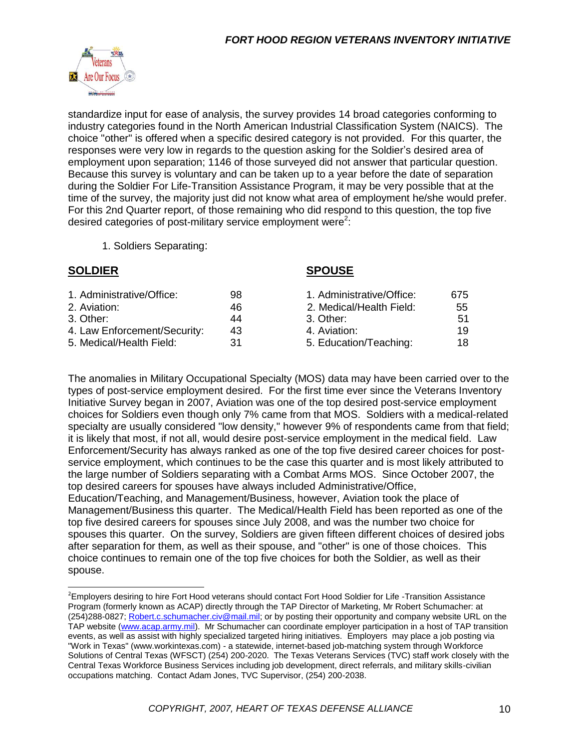

standardize input for ease of analysis, the survey provides 14 broad categories conforming to industry categories found in the North American Industrial Classification System (NAICS). The choice "other" is offered when a specific desired category is not provided. For this quarter, the responses were very low in regards to the question asking for the Soldier's desired area of employment upon separation; 1146 of those surveyed did not answer that particular question. Because this survey is voluntary and can be taken up to a year before the date of separation during the Soldier For Life-Transition Assistance Program, it may be very possible that at the time of the survey, the majority just did not know what area of employment he/she would prefer. For this 2nd Quarter report, of those remaining who did respond to this question, the top five desired categories of post-military service employment were<sup>2</sup>:

1. Soldiers Separating:

#### **SOLDIER SPOUSE**

| 1. Administrative/Office:    | 98  | 1. Administrative/Office: | 675 |
|------------------------------|-----|---------------------------|-----|
| 2. Aviation:                 | 46  | 2. Medical/Health Field:  | 55  |
| 3. Other: .                  | 44  | 3. Other:                 | .51 |
| 4. Law Enforcement/Security: | 43  | 4. Aviation:              | 19  |
| 5. Medical/Health Field:     | .31 | 5. Education/Teaching:    | 18  |
|                              |     |                           |     |

The anomalies in Military Occupational Specialty (MOS) data may have been carried over to the types of post-service employment desired. For the first time ever since the Veterans Inventory Initiative Survey began in 2007, Aviation was one of the top desired post-service employment choices for Soldiers even though only 7% came from that MOS. Soldiers with a medical-related specialty are usually considered "low density," however 9% of respondents came from that field; it is likely that most, if not all, would desire post-service employment in the medical field. Law Enforcement/Security has always ranked as one of the top five desired career choices for postservice employment, which continues to be the case this quarter and is most likely attributed to the large number of Soldiers separating with a Combat Arms MOS. Since October 2007, the top desired careers for spouses have always included Administrative/Office,

Education/Teaching, and Management/Business, however, Aviation took the place of Management/Business this quarter. The Medical/Health Field has been reported as one of the top five desired careers for spouses since July 2008, and was the number two choice for spouses this quarter. On the survey, Soldiers are given fifteen different choices of desired jobs after separation for them, as well as their spouse, and "other" is one of those choices. This choice continues to remain one of the top five choices for both the Soldier, as well as their spouse.

<sup>&</sup>lt;sup>2</sup>Employers desiring to hire Fort Hood veterans should contact Fort Hood Soldier for Life -Transition Assistance Program (formerly known as ACAP) directly through the TAP Director of Marketing, Mr Robert Schumacher: at (254)288-0827; [Robert.c.schumacher.civ@mail.mil;](mailto:Robert.c.schumacher.civ@mail.mil) or by posting their opportunity and company website URL on the TAP website [\(www.acap.army.mil\)](http://www.acap.army.mil/). Mr Schumacher can coordinate employer participation in a host of TAP transition events, as well as assist with highly specialized targeted hiring initiatives. Employers may place a job posting via "Work in Texas" (www.workintexas.com) - a statewide, internet-based job-matching system through Workforce Solutions of Central Texas (WFSCT) (254) 200-2020. The Texas Veterans Services (TVC) staff work closely with the Central Texas Workforce Business Services including job development, direct referrals, and military skills-civilian occupations matching. Contact Adam Jones, TVC Supervisor, (254) 200-2038.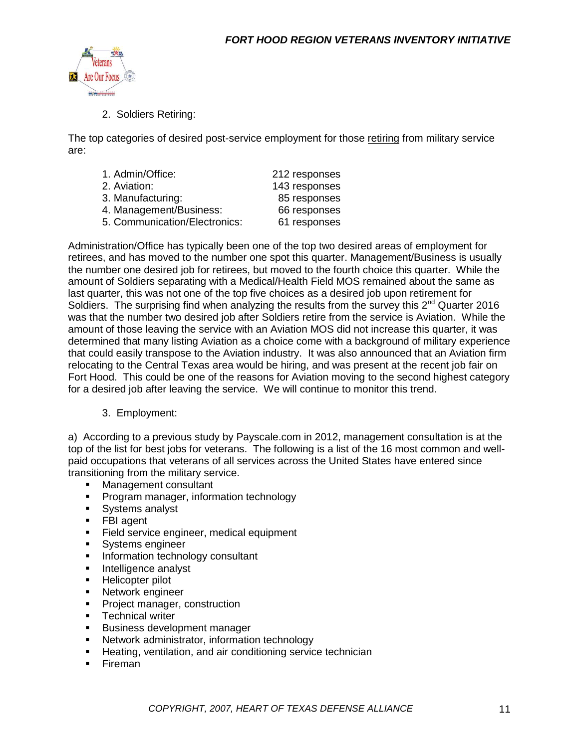

2. Soldiers Retiring:

The top categories of desired post-service employment for those retiring from military service are:

| 1. Admin/Office:              | 212 responses |
|-------------------------------|---------------|
| 2. Aviation:                  | 143 responses |
| 3. Manufacturing:             | 85 responses  |
| 4. Management/Business:       | 66 responses  |
| 5. Communication/Electronics: | 61 responses  |
|                               |               |

Administration/Office has typically been one of the top two desired areas of employment for retirees, and has moved to the number one spot this quarter. Management/Business is usually the number one desired job for retirees, but moved to the fourth choice this quarter. While the amount of Soldiers separating with a Medical/Health Field MOS remained about the same as last quarter, this was not one of the top five choices as a desired job upon retirement for Soldiers. The surprising find when analyzing the results from the survey this  $2^{nd}$  Quarter 2016 was that the number two desired job after Soldiers retire from the service is Aviation. While the amount of those leaving the service with an Aviation MOS did not increase this quarter, it was determined that many listing Aviation as a choice come with a background of military experience that could easily transpose to the Aviation industry. It was also announced that an Aviation firm relocating to the Central Texas area would be hiring, and was present at the recent job fair on Fort Hood. This could be one of the reasons for Aviation moving to the second highest category for a desired job after leaving the service. We will continue to monitor this trend.

#### 3. Employment:

a) According to a previous study by Payscale.com in 2012, management consultation is at the top of the list for best jobs for veterans. The following is a list of the 16 most common and wellpaid occupations that veterans of all services across the United States have entered since transitioning from the military service.

- Management consultant
- **Program manager, information technology**
- **Systems analyst**
- **FBI** agent
- **Field service engineer, medical equipment**
- **Systems engineer**
- **Information technology consultant**
- **Intelligence analyst**
- **Helicopter pilot**
- **Network engineer**
- **Project manager, construction**
- **Technical writer**
- **Business development manager**
- Network administrator, information technology
- **Heating, ventilation, and air conditioning service technician**
- **Fireman**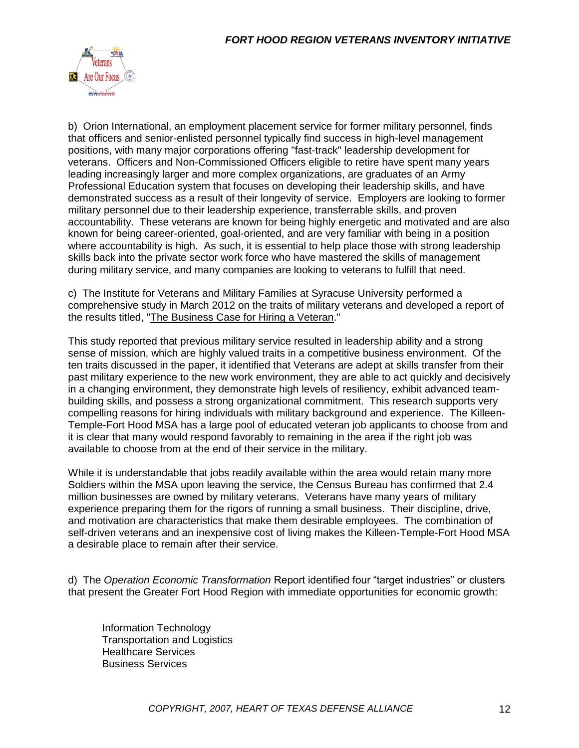

b) Orion International, an employment placement service for former military personnel, finds that officers and senior-enlisted personnel typically find success in high-level management positions, with many major corporations offering "fast-track" leadership development for veterans. Officers and Non-Commissioned Officers eligible to retire have spent many years leading increasingly larger and more complex organizations, are graduates of an Army Professional Education system that focuses on developing their leadership skills, and have demonstrated success as a result of their longevity of service. Employers are looking to former military personnel due to their leadership experience, transferrable skills, and proven accountability. These veterans are known for being highly energetic and motivated and are also known for being career-oriented, goal-oriented, and are very familiar with being in a position where accountability is high. As such, it is essential to help place those with strong leadership skills back into the private sector work force who have mastered the skills of management during military service, and many companies are looking to veterans to fulfill that need.

c) The Institute for Veterans and Military Families at Syracuse University performed a comprehensive study in March 2012 on the traits of military veterans and developed a report of the results titled, ["The Business Case for Hiring a Veteran.](file:///C:/Users/LeeAnn/Documents/Veterans%20Inventory%20Initiative/1st%20Qtr%2016/The%20Business%20Case%20for%20Hiring%20a%20Veteran%203-6-12.pdf)"

This study reported that previous military service resulted in leadership ability and a strong sense of mission, which are highly valued traits in a competitive business environment. Of the ten traits discussed in the paper, it identified that Veterans are adept at skills transfer from their past military experience to the new work environment, they are able to act quickly and decisively in a changing environment, they demonstrate high levels of resiliency, exhibit advanced teambuilding skills, and possess a strong organizational commitment. This research supports very compelling reasons for hiring individuals with military background and experience. The Killeen-Temple-Fort Hood MSA has a large pool of educated veteran job applicants to choose from and it is clear that many would respond favorably to remaining in the area if the right job was available to choose from at the end of their service in the military.

While it is understandable that jobs readily available within the area would retain many more Soldiers within the MSA upon leaving the service, the Census Bureau has confirmed that 2.4 million businesses are owned by military veterans. Veterans have many years of military experience preparing them for the rigors of running a small business. Their discipline, drive, and motivation are characteristics that make them desirable employees. The combination of self-driven veterans and an inexpensive cost of living makes the Killeen-Temple-Fort Hood MSA a desirable place to remain after their service.

d) The *Operation Economic Transformation* Report identified four "target industries" or clusters that present the Greater Fort Hood Region with immediate opportunities for economic growth:

Information Technology Transportation and Logistics Healthcare Services Business Services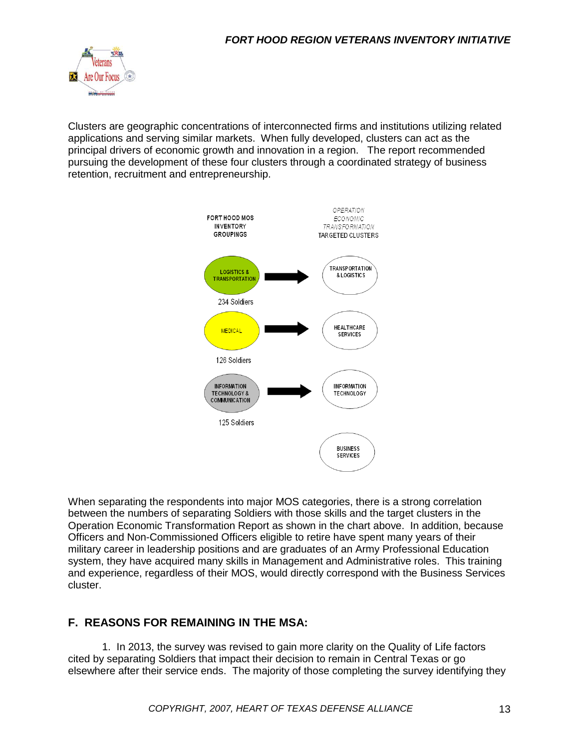

Clusters are geographic concentrations of interconnected firms and institutions utilizing related applications and serving similar markets. When fully developed, clusters can act as the principal drivers of economic growth and innovation in a region. The report recommended pursuing the development of these four clusters through a coordinated strategy of business retention, recruitment and entrepreneurship.



When separating the respondents into major MOS categories, there is a strong correlation between the numbers of separating Soldiers with those skills and the target clusters in the Operation Economic Transformation Report as shown in the chart above. In addition, because Officers and Non-Commissioned Officers eligible to retire have spent many years of their military career in leadership positions and are graduates of an Army Professional Education system, they have acquired many skills in Management and Administrative roles. This training and experience, regardless of their MOS, would directly correspond with the Business Services cluster.

### **F. REASONS FOR REMAINING IN THE MSA:**

1. In 2013, the survey was revised to gain more clarity on the Quality of Life factors cited by separating Soldiers that impact their decision to remain in Central Texas or go elsewhere after their service ends. The majority of those completing the survey identifying they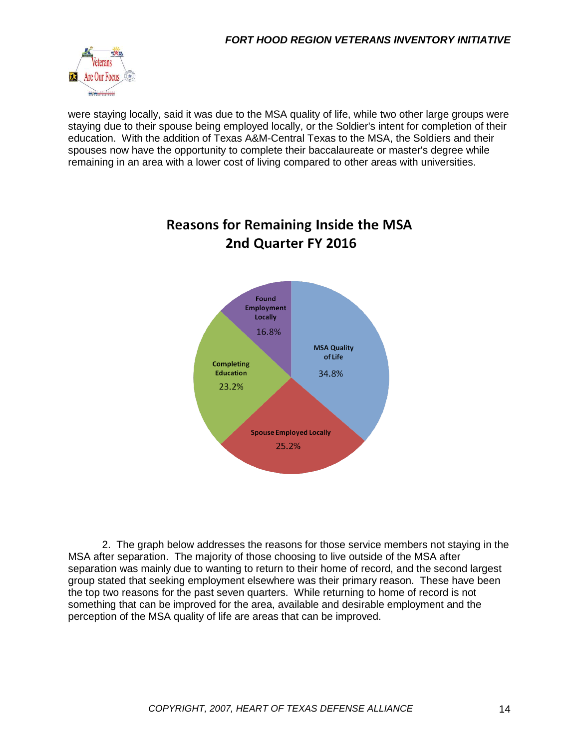

were staying locally, said it was due to the MSA quality of life, while two other large groups were staying due to their spouse being employed locally, or the Soldier's intent for completion of their education. With the addition of Texas A&M-Central Texas to the MSA, the Soldiers and their spouses now have the opportunity to complete their baccalaureate or master's degree while remaining in an area with a lower cost of living compared to other areas with universities.



# **Reasons for Remaining Inside the MSA** 2nd Quarter FY 2016

2. The graph below addresses the reasons for those service members not staying in the MSA after separation. The majority of those choosing to live outside of the MSA after separation was mainly due to wanting to return to their home of record, and the second largest group stated that seeking employment elsewhere was their primary reason. These have been the top two reasons for the past seven quarters. While returning to home of record is not something that can be improved for the area, available and desirable employment and the perception of the MSA quality of life are areas that can be improved.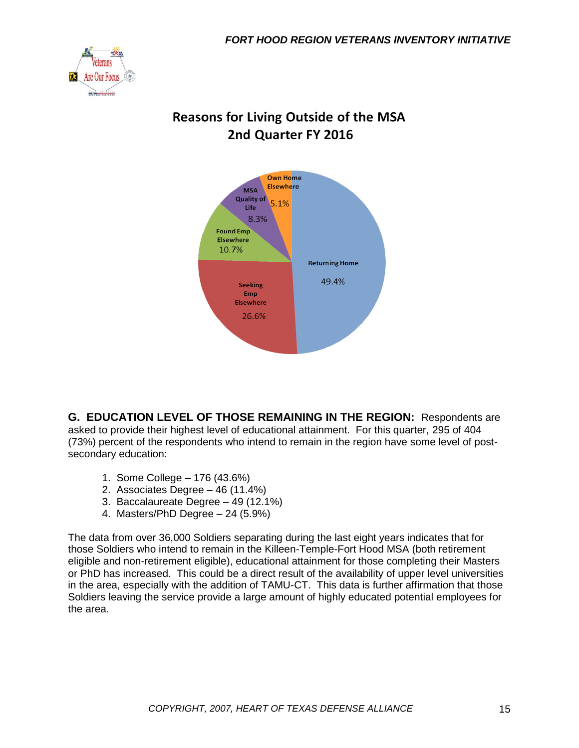

## **Reasons for Living Outside of the MSA** 2nd Quarter FY 2016



**G. EDUCATION LEVEL OF THOSE REMAINING IN THE REGION:** Respondents are asked to provide their highest level of educational attainment. For this quarter, 295 of 404 (73%) percent of the respondents who intend to remain in the region have some level of postsecondary education:

- 1. Some College 176 (43.6%)
- 2. Associates Degree 46 (11.4%)
- 3. Baccalaureate Degree 49 (12.1%)
- 4. Masters/PhD Degree 24 (5.9%)

The data from over 36,000 Soldiers separating during the last eight years indicates that for those Soldiers who intend to remain in the Killeen-Temple-Fort Hood MSA (both retirement eligible and non-retirement eligible), educational attainment for those completing their Masters or PhD has increased. This could be a direct result of the availability of upper level universities in the area, especially with the addition of TAMU-CT. This data is further affirmation that those Soldiers leaving the service provide a large amount of highly educated potential employees for the area.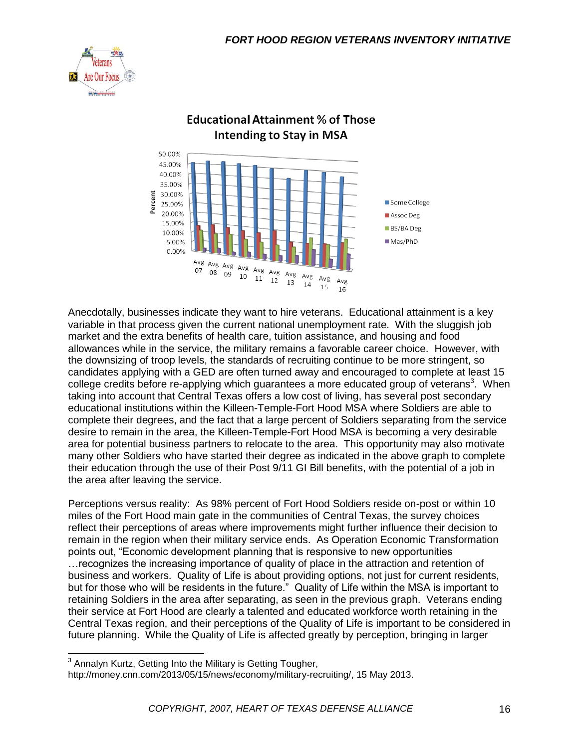



### **Educational Attainment % of Those Intending to Stay in MSA**

Anecdotally, businesses indicate they want to hire veterans. Educational attainment is a key variable in that process given the current national unemployment rate. With the sluggish job market and the extra benefits of health care, tuition assistance, and housing and food allowances while in the service, the military remains a favorable career choice. However, with the downsizing of troop levels, the standards of recruiting continue to be more stringent, so candidates applying with a GED are often turned away and encouraged to complete at least 15 college credits before re-applying which guarantees a more educated group of veterans<sup>3</sup>. When taking into account that Central Texas offers a low cost of living, has several post secondary educational institutions within the Killeen-Temple-Fort Hood MSA where Soldiers are able to complete their degrees, and the fact that a large percent of Soldiers separating from the service desire to remain in the area, the Killeen-Temple-Fort Hood MSA is becoming a very desirable area for potential business partners to relocate to the area. This opportunity may also motivate many other Soldiers who have started their degree as indicated in the above graph to complete their education through the use of their Post 9/11 GI Bill benefits, with the potential of a job in the area after leaving the service.

Perceptions versus reality: As 98% percent of Fort Hood Soldiers reside on-post or within 10 miles of the Fort Hood main gate in the communities of Central Texas, the survey choices reflect their perceptions of areas where improvements might further influence their decision to remain in the region when their military service ends. As Operation Economic Transformation points out, "Economic development planning that is responsive to new opportunities …recognizes the increasing importance of quality of place in the attraction and retention of business and workers. Quality of Life is about providing options, not just for current residents, but for those who will be residents in the future." Quality of Life within the MSA is important to retaining Soldiers in the area after separating, as seen in the previous graph. Veterans ending their service at Fort Hood are clearly a talented and educated workforce worth retaining in the Central Texas region, and their perceptions of the Quality of Life is important to be considered in future planning. While the Quality of Life is affected greatly by perception, bringing in larger

 3 Annalyn Kurtz, Getting Into the Military is Getting Tougher,

http://money.cnn.com/2013/05/15/news/economy/military-recruiting/, 15 May 2013.